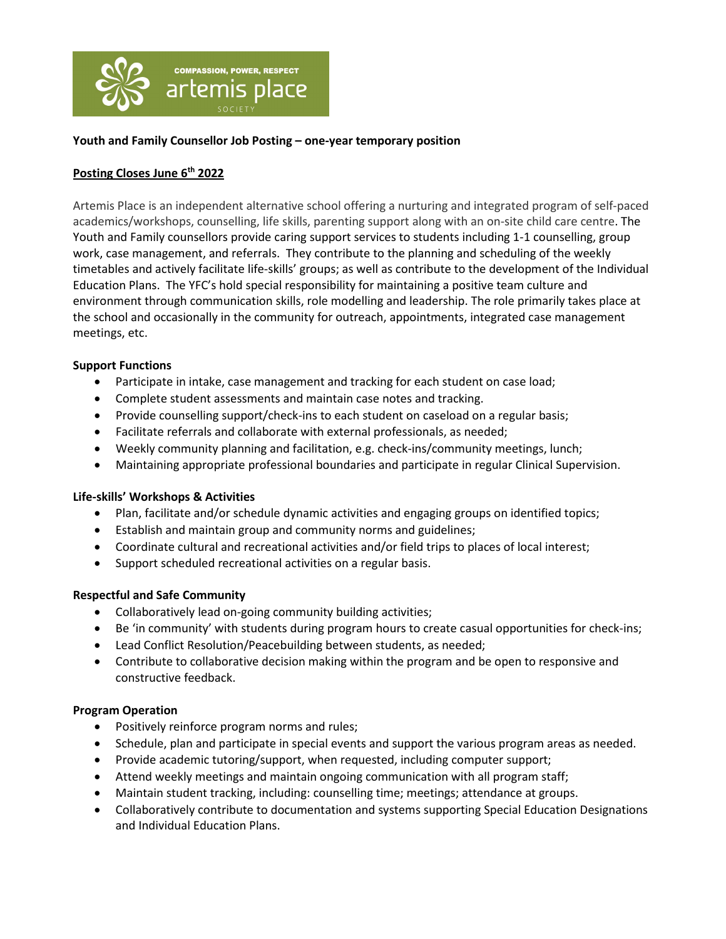

# **Youth and Family Counsellor Job Posting – one-year temporary position**

# **Posting Closes June 6th 2022**

Artemis Place is an independent alternative school offering a nurturing and integrated program of self-paced academics/workshops, counselling, life skills, parenting support along with an on-site child care centre. The Youth and Family counsellors provide caring support services to students including 1-1 counselling, group work, case management, and referrals. They contribute to the planning and scheduling of the weekly timetables and actively facilitate life-skills' groups; as well as contribute to the development of the Individual Education Plans. The YFC's hold special responsibility for maintaining a positive team culture and environment through communication skills, role modelling and leadership. The role primarily takes place at the school and occasionally in the community for outreach, appointments, integrated case management meetings, etc.

## **Support Functions**

• Participate in intake, case management and tracking for each student on case load;

 $\begin{array}{c} \begin{array}{c} \begin{array}{c} \begin{array}{c} \end{array}\\ \end{array} \end{array} \end{array} \end{array}$ 

- Complete student assessments and maintain case notes and tracking.
- Provide counselling support/check-ins to each student on caseload on a regular basis;
- Facilitate referrals and collaborate with external professionals, as needed;
- Weekly community planning and facilitation, e.g. check-ins/community meetings, lunch;
- Maintaining appropriate professional boundaries and participate in regular Clinical Supervision.

## **Life-skills' Workshops & Activities**

- Plan, facilitate and/or schedule dynamic activities and engaging groups on identified topics;
- Establish and maintain group and community norms and guidelines;
- Coordinate cultural and recreational activities and/or field trips to places of local interest;
- Support scheduled recreational activities on a regular basis.

## **Respectful and Safe Community**

- Collaboratively lead on-going community building activities;
- Be 'in community' with students during program hours to create casual opportunities for check-ins;
- Lead Conflict Resolution/Peacebuilding between students, as needed;
- Contribute to collaborative decision making within the program and be open to responsive and constructive feedback.

## **Program Operation**

- Positively reinforce program norms and rules;
- Schedule, plan and participate in special events and support the various program areas as needed.
- Provide academic tutoring/support, when requested, including computer support;
- Attend weekly meetings and maintain ongoing communication with all program staff;
- Maintain student tracking, including: counselling time; meetings; attendance at groups.
- Collaboratively contribute to documentation and systems supporting Special Education Designations and Individual Education Plans.